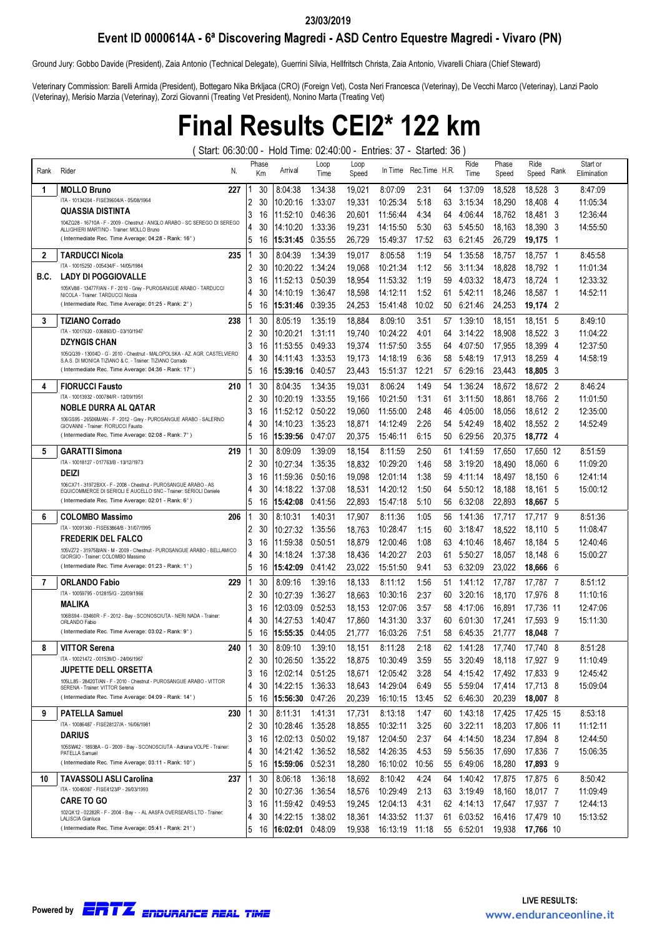#### 23/03/2019

#### Event ID 0000614A - 6ª Discovering Magredi - ASD Centro Equestre Magredi - Vivaro (PN)

Ground Jury: Gobbo Davide (President), Zaia Antonio (Technical Delegate), Guerrini Silvia, Hellfritsch Christa, Zaia Antonio, Vivarelli Chiara (Chief Steward)

Veterinary Commission: Barelli Armida (President), Bottegaro Nika Brkljaca (CRO) (Foreign Vet), Costa Neri Francesca (Veterinay), De Vecchi Marco (Veterinay), Lanzi Paolo (Veterinay), Merisio Marzia (Veterinay), Zorzi Giovanni (Treating Vet President), Nonino Marta (Treating Vet)

### Final Results CEI2\* 122 km

( Start: 06:30:00 - Hold Time: 02:40:00 - Entries: 37 - Started: 36 )

| Rank | Rider<br>N.                                                                                                                          |   | Phase<br>Кm | Arrival          | Loop<br>Time | Loop<br>Speed | In Time        | Rec.Time H.R. |    | Ride<br>Time | Phase<br>Speed | Ride<br>Speed | Rank | Start or<br>Elimination |
|------|--------------------------------------------------------------------------------------------------------------------------------------|---|-------------|------------------|--------------|---------------|----------------|---------------|----|--------------|----------------|---------------|------|-------------------------|
| 1    | 227<br><b>MOLLO Bruno</b>                                                                                                            |   | 30          | 8:04:38          | 1:34:38      | 19,021        | 8:07:09        | 2:31          | 64 | 1:37:09      | 18,528         | 18.528<br>- 3 |      | 8:47:09                 |
|      | ITA - 10134204 - FISE39604/A - 05/08/1964                                                                                            | 2 | 30          | 10:20:16         | 1:33:07      | 19,331        | 10:25:34       | 5:18          | 63 | 3:15:34      | 18,290         | 18,408<br>- 4 |      | 11:05:34                |
|      | QUASSIA DISTINTA                                                                                                                     | 3 | 16          | 11:52:10         | 0:46:36      | 20,601        | 11:56:44       | 4:34          | 64 | 4:06:44      | 18,762         | 18.481 3      |      | 12:36:44                |
|      | 104ZQ28 - 16710A - F - 2009 - Chestnut - ANGLO ARABO - SC SEREGO DI SEREGO<br>ALLIGHIERI MARTINO - Trainer: MOLLO Bruno              | 4 | 30          | 14:10:20         | 1:33:36      | 19,231        | 14:15:50       | 5:30          | 63 | 5:45:50      | 18,163         | 18,390        | - 3  | 14:55:50                |
|      | (Intermediate Rec. Time Average: 04:28 - Rank: 16°)                                                                                  | 5 | 16          | 15:31:45         | 0:35:55      | 26,729        | 15:49:37       | 17:52         | 63 | 6:21:45      | 26,729         | 19,175<br>- 1 |      |                         |
| 2    | <b>TARDUCCI Nicola</b><br>235                                                                                                        |   | 30          | 8:04:39          | 1:34:39      | 19.017        | 8:05:58        | 1:19          | 54 | 1:35:58      | 18,757         | 18,757 1      |      | 8:45:58                 |
|      | ITA - 10015250 - 005434/F - 14/05/1984                                                                                               | 2 | 30          | 10:20:22         | 1:34:24      | 19,068        | 10:21:34       | 1:12          | 56 | 3:11:34      | 18,828         | 18,792<br>- 1 |      | 11:01:34                |
| B.C. | <b>LADY DI POGGIOVALLE</b>                                                                                                           | 3 | 16          | 11:52:13         | 0:50:39      | 18,954        | 11:53:32       | 1:19          | 59 | 4:03:32      | 18,473         | 18,724<br>- 1 |      | 12:33:32                |
|      | 105KV88 - 13477F/AN - F - 2010 - Grey - PUROSANGUE ARABO - TARDUCCI<br>NICOLA - Trainer: TARDUCCI Nicola                             | 4 | 30          | 14:10:19         | 1:36:47      | 18,598        | 14:12:11       | 1:52          | 61 | 5:42:11      | 18.246         | 18.587<br>- 1 |      | 14:52:11                |
|      | (Intermediate Rec. Time Average: 01:25 - Rank: 2°)                                                                                   | 5 | 16          | 15:31:46         | 0:39:35      | 24,253        | 15:41:48       | 10:02         | 50 | 6:21:46      | 24,253         | 19,174 2      |      |                         |
| 3    | 238<br><b>TIZIANO Corrado</b>                                                                                                        |   | 30          | 8:05:19          | 1:35:19      | 18,884        | 8:09:10        | 3:51          | 57 | 1:39:10      | 18,151         | 18,151 5      |      | 8:49:10                 |
|      | ITA - 100 17620 - 036860/D - 03/10/1947                                                                                              | 2 | 30          | 10:20:21         | 1:31:11      | 19.740        | 10:24:22       | 4:01          | 64 | 3:14:22      | 18.908         | 18,522 3      |      | 11:04:22                |
|      | DZYNGIS CHAN<br>105QQ39 - 13004D - G - 2010 - Chestnut - MALOPOLSKA - AZ. AGR. CASTELVIERO                                           | 3 | 16          | 11:53:55         | 0:49:33      | 19,374        | 11:57:50       | 3:55          | 64 | 4:07:50      | 17,955         | 18,399<br>- 4 |      | 12:37:50                |
|      | S.A.S. DI MONICA TIZIANO & C. - Trainer: TIZIANO Corrado                                                                             | 4 | 30          | 14:11:43         | 1:33:53      | 19.173        | 14:18:19       | 6:36          | 58 | 5:48:19      | 17,913         | 18,259<br>- 4 |      | 14:58:19                |
|      | (Intermediate Rec. Time Average: 04:36 - Rank: 17°)                                                                                  | 5 | 16          | 15:39:16         | 0:40:57      | 23,443        | 15:51:37       | 12:21         | 57 | 6:29:16      | 23,443         | 18,805 3      |      |                         |
| 4    | <b>FIORUCCI Fausto</b><br>210                                                                                                        |   | 30          | 8:04:35          | 1:34:35      | 19.031        | 8:06:24        | 1:49          | 54 | 1:36:24      | 18,672         | 18,672 2      |      | 8:46:24                 |
|      | ITA - 10013932 - 000784/R - 12/09/1951                                                                                               | 2 | 30          | 10:20:19         | 1:33:55      | 19,166        | 10:21:50       | 1:31          | 61 | 3:11:50      | 18.861         | 18.766        | - 2  | 11:01:50                |
|      | NOBLE DURRA AL QATAR<br>106GS95 - 26506M/AN - F - 2012 - Grey - PUROSANGUE ARABO - SALERNO                                           | 3 | 16          | 11:52:12         | 0:50:22      | 19,060        | 11:55:00       | 2:48          | 46 | 4:05:00      | 18,056         | 18,612 2      |      | 12:35:00                |
|      | GIOVANNI - Trainer: FIORUCCI Fausto                                                                                                  | 4 | 30          | 14:10:23         | 1:35:23      | 18,871        | 14:12:49       | 2:26          | 54 | 5:42:49      | 18,402         | 18,552 2      |      | 14:52:49                |
|      | (Intermediate Rec. Time Average: 02:08 - Rank: 7°)                                                                                   | 5 | 16          | 15:39:56         | 0:47:07      | 20,375        | 15:46:11       | 6:15          | 50 | 6:29:56      | 20,375         | 18,772 4      |      |                         |
| 5    | <b>GARATTI Simona</b><br>219                                                                                                         |   | 30          | 8:09:09          | 1:39:09      | 18.154        | 8:11:59        | 2:50          | 61 | 1:41:59      | 17,650         | 17.650 12     |      | 8:51:59                 |
|      | ITA - 10018127 - 017763/B - 13/12/1973                                                                                               | 2 | 30          | 10:27:34         | 1:35:35      | 18,832        | 10:29:20       | 1:46          | 58 | 3:19:20      | 18.490         | 18,060        | - 6  | 11:09:20                |
|      | DEIZI                                                                                                                                | 3 | 16          | 11:59:36         | 0:50:16      | 19.098        | 12:01:14       | 1:38          | 59 | 4:11:14      | 18,497         | 18,150        | - 6  | 12:41:14                |
|      | 106CX71 - 31972BXX - F - 2008 - Chestnut - PUROSANGUE ARABO - AS<br>EQUICOMMERCE DI SERIOLI E AUCELLO SNC - Trainer: SERIOLI Daniele | 4 | 30          | 14:18:22         | 1:37:08      | 18,531        | 14:20:12       | 1:50          | 64 | 5:50:12      | 18,188         | 18,161 5      |      | 15:00:12                |
|      | (Intermediate Rec. Time Average: 02:01 - Rank: 6°)                                                                                   | 5 | 16          | 15:42:08         | 0:41:56      | 22,893        | 15:47:18       | 5:10          | 56 | 6:32:08      | 22,893         | 18,667 5      |      |                         |
| 6    | <b>COLOMBO Massimo</b><br>206                                                                                                        |   | 30          | 8:10:31          | 1:40:31      | 17,907        | 8:11:36        | 1:05          | 56 | 1:41:36      | 17,717         | 17.717 9      |      | 8:51:36                 |
|      | ITA - 10091360 - FISE63864/B - 31/07/1995                                                                                            | 2 | 30          | 10:27:32         | 1:35:56      | 18.763        | 10:28:47       | 1:15          | 60 | 3:18:47      | 18.522         | 18,110        | - 5  | 11:08:47                |
|      | <b>FREDERIK DEL FALCO</b><br>105VZ72 - 31975B/AN - M - 2009 - Chestnut - PUROSANGUE ARABO - BELLAMICO                                | 3 | 16          | 11:59:38         | 0:50:51      | 18,879        | 12:00:46       | 1:08          | 63 | 4:10:46      | 18,467         | 18,184        | - 5  | 12:40:46                |
|      | GIORGIO - Trainer: COLOMBO Massimo                                                                                                   | 4 | 30          | 14:18:24         | 1:37:38      | 18,436        | 14:20:27       | 2:03          | 61 | 5:50:27      | 18.057         | 18.148        | - 6  | 15:00:27                |
|      | (Intermediate Rec. Time Average: 01:23 - Rank: 1°)                                                                                   | 5 | 16          | 15:42:09         | 0:41:42      | 23,022        | 15:51:50       | 9:41          | 53 | 6:32:09      | 23,022         | 18,666        | - 6  |                         |
| 7    | 229<br><b>ORLANDO Fabio</b>                                                                                                          |   | 30          | 8:09:16          | 1:39:16      | 18,133        | 8:11:12        | 1:56          | 51 | 1:41:12      | 17,787         | 17.787<br>- 7 |      | 8:51:12                 |
|      | ITA - 10059795 - 012815/G - 22/09/1966                                                                                               | 2 | 30          | 10:27:39         | 1:36:27      | 18.663        | 10:30:16       | 2:37          | 60 | 3:20:16      | 18,170         | 17.976        | -8   | 11:10:16                |
|      | MALIKA<br>106BS94 - 03460R - F - 2012 - Bay - SCONOSCIUTA - NERI NADA - Trainer:                                                     | 3 | 16          | 12:03:09         | 0:52:53      | 18,153        | 12:07:06       | 3:57          | 58 | 4:17:06      | 16,891         | 17.736        | -11  | 12:47:06                |
|      | ORLANDO Fabio                                                                                                                        | 4 | 30          | 14:27:53         | 1:40:47      | 17,860        | 14:31:30       | 3:37          | 60 | 6:01:30      | 17,241         | 17.593        | - 9  | 15:11:30                |
|      | (Intermediate Rec. Time Average: 03:02 - Rank: 9°)                                                                                   | 5 | 16          | 15:55:35         | 0:44:05      | 21,777        | 16:03:26       | 7:51          | 58 | 6:45:35      | 21,777         | 18,048        | - 7  |                         |
| 8    | <b>VITTOR Serena</b><br>240                                                                                                          |   | 30          | 8:09:10          | 1:39:10      | 18.151        | 8:11:28        | 2:18          | 62 | 1:41:28      | 17,740         | 17.740        | -8   | 8:51:28                 |
|      | ITA - 10021472 - 001539/D - 24/06/1967<br><b>JUPETTE DELL ORSETTA</b>                                                                | 2 | 30          | 10:26:50         | 1:35:22      | 18,875        | 10:30:49       | 3:59          | 55 | 3:20:49      | 18,118         | 17,927 9      |      | 11:10:49                |
|      | 105LL85 - 28420T/AN - F - 2010 - Chestnut - PUROSANGUE ARABO - VITTOR                                                                | 3 | 16          | 12:02:14         | 0:51:25      | 18,671        | 12:05:42       | 3:28          | 54 | 4:15:42      | 17,492         | 17.833 9      |      | 12:45:42                |
|      | SERENA - Trainer: VITTOR Serena<br>(Intermediate Rec. Time Average: 04:09 - Rank: 14°)                                               | 4 | 30          | 14:22:15         | 1:36:33      | 18,643        | 14:29:04       | 6:49          | 55 | 5:59:04      | 17,414         | 17,713 8      |      | 15:09:04                |
|      |                                                                                                                                      | 5 | 16          | 15:56:30 0:47:26 |              | 20,239        | 16:10:15       | 13:45         |    | 52 6:46:30   | 20,239         | 18,007 8      |      |                         |
| 9    | <b>PATELLA Samuel</b><br>230                                                                                                         |   | 30          | 8:11:31          | 1:41:31      | 17,731        | 8:13:18        | 1:47          | 60 | 1:43:18      | 17,425         | 17.425 15     |      | 8:53:18                 |
|      | ITA - 10086487 - FISE28127/A - 16/06/1981<br>DARIUS                                                                                  | 2 | 30          | 10:28:46         | 1:35:28      | 18,855        | 10:32:11       | 3:25          | 60 | 3:22:11      | 18,203         | 17.806 11     |      | 11:12:11                |
|      | 105SW42 - 18938A - G - 2009 - Bay - SCONOSCIUTA - Adriana VOLPE - Trainer:                                                           | 3 | 16          | 12:02:13         | 0:50:02      | 19,187        | 12:04:50       | 2:37          | 64 | 4:14:50      | 18,234         | 17,894 8      |      | 12:44:50                |
|      | PATELLA Samuel<br>(Intermediate Rec. Time Average: 03:11 - Rank: 10°)                                                                | 4 | 30          | 14:21:42         | 1:36:52      | 18,582        | 14:26:35       | 4:53          | 59 | 5:56:35      | 17,690         | 17,836 7      |      | 15:06:35                |
|      |                                                                                                                                      | 5 | 16          | 15:59:06 0:52:31 |              | 18,280        | 16:10:02       | 10:56         |    | 55 6:49:06   | 18,280         | 17,893 9      |      |                         |
| 10   | <b>TAVASSOLI ASLI Carolina</b><br>237<br>ITA - 10046087 - FISE4123/P - 26/03/1993                                                    |   | 30          | 8:06:18          | 1:36:18      | 18.692        | 8:10:42        | 4:24          |    | 64 1:40:42   | 17,875         | 17,875 6      |      | 8:50:42                 |
|      | <b>CARE TO GO</b>                                                                                                                    | 2 | 30          | 10:27:36         | 1:36:54      | 18,576        | 10:29:49       | 2:13          |    | 63 3:19:49   | 18,160         | 18,017 7      |      | 11:09:49                |
|      | 102QK12 - 02282R - F - 2004 - Bay - - AL AASFA OVERSEARS LTD - Trainer:                                                              | 3 | 16          | 11:59:42         | 0:49:53      | 19,245        | 12:04:13       | 4:31          |    | 62 4:14:13   | 17,647         | 17,937 7      |      | 12:44:13                |
|      | LALISCIA Gianluca<br>(Intermediate Rec. Time Average: 05:41 - Rank: 21°)                                                             | 4 | 30          | 14:22:15         | 1:38:02      | 18,361        | 14:33:52       | 11:37         | 61 | 6:03:52      | 16,416         | 17,479 10     |      | 15:13:52                |
|      |                                                                                                                                      | 5 | 16          | 16:02:01         | 0:48:09      | 19,938        | 16:13:19 11:18 |               |    | 55 6:52:01   | 19,938         | 17,766 10     |      |                         |

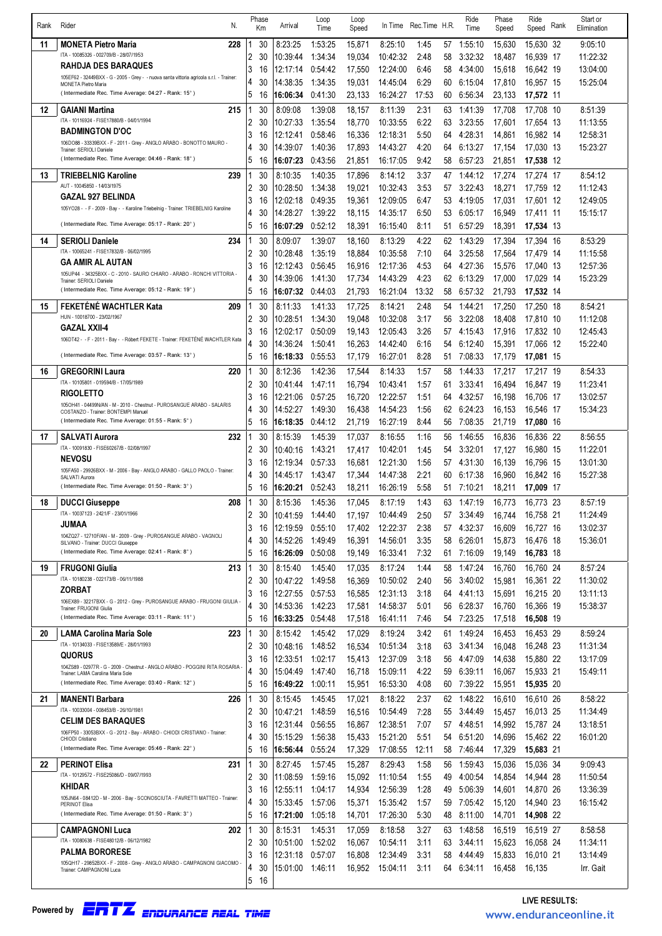| Rank | N.<br>Rider                                                                                                            |                     | Phase<br>Km | Arrival              | Loop<br>Time       | Loop<br>Speed    | In Time              | Rec.Time H.R. |          | Ride<br>Time       | Phase<br>Speed   | Ride<br>Speed          | <b>Rank</b> | Start or<br>Elimination |
|------|------------------------------------------------------------------------------------------------------------------------|---------------------|-------------|----------------------|--------------------|------------------|----------------------|---------------|----------|--------------------|------------------|------------------------|-------------|-------------------------|
| 11   | <b>MONETA Pietro Maria</b><br>228                                                                                      |                     | 30          | 8:23:25              | 1:53:25            | 15.871           | 8:25:10              | 1:45          | 57       | 1:55:10            | 15,630           | 15,630 32              |             | 9:05:10                 |
|      | ITA - 10085326 - 002709/B - 28/07/1953                                                                                 | 2                   | 30          | 10:39:44             | 1:34:34            | 19.034           | 10:42:32             | 2:48          | 58       | 3:32:32            | 18.487           | 16,939 17              |             | 11:22:32                |
|      | RAHDJA DES BARAQUES                                                                                                    | 3                   | 16          | 12:17:14             | 0:54:42            | 17,550           | 12:24:00             | 6:46          | 58       | 4:34:00            | 15,618           | 16,642 19              |             | 13:04:00                |
|      | 105EF62 - 32449BXX - G - 2005 - Grey - - nuova santa vittoria agricola s.r.l. - Trainer:<br><b>MONETA Pietro Maria</b> | 4                   | 30          | 14:38:35             | 1:34:35            | 19,031           | 14:45:04             | 6:29          | 60       | 6:15:04            | 17,810           | 16,957 15              |             | 15:25:04                |
|      | (Intermediate Rec. Time Average: 04:27 - Rank: 15°)                                                                    | 5                   | 16          | 16:06:34             | 0:41:30            | 23,133           | 16:24:27             | 17:53         | 60       | 6:56:34            | 23,133           | 17,572 11              |             |                         |
| 12   | 215<br><b>GAIANI Martina</b>                                                                                           |                     | 30          | 8:09:08              | 1:39:08            | 18.157           | 8:11:39              | 2:31          | 63       | 1:41:39            | 17,708           | 17,708 10              |             | 8:51:39                 |
|      | ITA - 10116924 - FISE17880/B - 04/01/1994                                                                              | 2                   | 30          | 10:27:33             | 1:35:54            | 18.770           | 10:33:55             | 6:22          | 63       | 3:23:55            | 17,601           | 17,654 13              |             | 11:13:55                |
|      | <b>BADMINGTON D'OC</b><br>106DO88 - 33339BXX - F - 2011 - Grey - ANGLO ARABO - BONOTTO MAURO -                         | 3                   | 16          | 12:12:41             | 0:58:46            | 16,336           | 12:18:31             | 5:50          | 64       | 4:28:31            | 14,861           | 16,982 14              |             | 12:58:31                |
|      | Trainer: SERIOLI Daniele                                                                                               | 4                   | 30          | 14:39:07             | 1:40:36            | 17,893           | 14:43:27             | 4:20          | 64       | 6:13:27            | 17,154           | 17,030 13              |             | 15:23:27                |
|      | (Intermediate Rec. Time Average: 04:46 - Rank: 18°)                                                                    | 5                   | 16          | 16:07:23             | 0:43:56            | 21,851           | 16:17:05             | 9:42          | 58       | 6:57:23            | 21,851           | 17,538 12              |             |                         |
| 13   | 239<br><b>TRIEBELNIG Karoline</b><br>AUT - 10045850 - 14/03/1975                                                       | 1                   | 30          | 8:10:35              | 1:40:35            | 17,896           | 8:14:12              | 3:37          | 47       | 1:44:12            | 17,274           | 17,274 17              |             | 8:54:12                 |
|      | <b>GAZAL 927 BELINDA</b>                                                                                               | 2<br>3              | 30<br>16    | 10:28:50<br>12:02:18 | 1:34:38<br>0:49:35 | 19,021<br>19,361 | 10:32:43<br>12:09:05 | 3:53<br>6:47  | 57<br>53 | 3:22:43<br>4:19:05 | 18,271<br>17,031 | 17,759 12<br>17,601 12 |             | 11:12:43<br>12:49:05    |
|      | 105YO28 - - F - 2009 - Bay - - Karoline Triebelnig - Trainer: TRIEBELNIG Karoline                                      | 4                   | 30          | 14:28:27             | 1:39:22            | 18,115           | 14:35:17             | 6:50          | 53       | 6:05:17            | 16,949           | 17,411 11              |             | 15:15:17                |
|      | (Intermediate Rec. Time Average: 05:17 - Rank: 20°)                                                                    | 5                   | 16          | 16:07:29             | 0:52:12            | 18,391           | 16:15:40             | 8:11          | 51       | 6:57:29            | 18,391           | 17,534 13              |             |                         |
| 14   | 234<br><b>SERIOLI Daniele</b>                                                                                          | 1                   | 30          | 8:09:07              | 1:39:07            | 18.160           | 8:13:29              | 4:22          | 62       | 1:43:29            | 17,394           | 17,394 16              |             | 8:53:29                 |
|      | ITA - 10065241 - FISE17832/B - 06/02/1995                                                                              | 2                   | 30          | 10:28:48             | 1:35:19            | 18,884           | 10:35:58             | 7:10          | 64       | 3:25:58            | 17,564           | 17,479 14              |             | 11:15:58                |
|      | <b>GA AMIR AL AUTAN</b>                                                                                                | 3                   | 16          | 12:12:43             | 0:56:45            | 16,916           | 12:17:36             | 4:53          | 64       | 4:27:36            | 15,576           | 17.040 13              |             | 12:57:36                |
|      | 105UP44 - 34325BXX - C - 2010 - SAURO CHIARO - ARABO - RONCHI VITTORIA -<br>Trainer: SERIOLI Daniele                   | 4                   | 30          | 14:39:06             | 1:41:30            | 17,734           | 14:43:29             | 4:23          | 62       | 6:13:29            | 17,000           | 17,029 14              |             | 15:23:29                |
|      | (Intermediate Rec. Time Average: 05:12 - Rank: 19°)                                                                    | 5                   | 16          | 16:07:32             | 0:44:03            | 21,793           | 16:21:04             | 13:32         | 58       | 6:57:32            | 21,793           | 17,532 14              |             |                         |
| 15   | <b>FEKETENE WACHTLER Kata</b><br>209                                                                                   | 1                   | 30          | 8:11:33              | 1:41:33            | 17,725           | 8:14:21              | 2:48          | 54       | 1:44:21            | 17,250           | 17,250 18              |             | 8:54:21                 |
|      | HUN - 10018700 - 23/02/1967<br><b>GAZAL XXII-4</b>                                                                     | 2                   | 30          | 10:28:51             | 1:34:30            | 19,048           | 10:32:08             | 3:17          | 56       | 3:22:08            | 18,408           | 17,810 10              |             | 11:12:08                |
|      | 106DT42 - - F - 2011 - Bay - - Róbert FEKETE - Trainer: FEKETÉNÉ WACHTLER Kata                                         | 3                   | 16          | 12:02:17             | 0:50:09            | 19,143           | 12:05:43             | 3:26          | 57       | 4:15:43            | 17,916           | 17,832 10              |             | 12:45:43                |
|      | (Intermediate Rec. Time Average: 03:57 - Rank: 13°)                                                                    | 4<br>5              | 30<br>16    | 14:36:24<br>16:18:33 | 1:50:41<br>0:55:53 | 16.263<br>17,179 | 14:42:40<br>16:27:01 | 6:16<br>8:28  | 54<br>51 | 6:12:40<br>7:08:33 | 15,391<br>17,179 | 17,066 12<br>17,081 15 |             | 15:22:40                |
| 16   | <b>GREGORINI Laura</b><br>220                                                                                          | 1                   | 30          | 8:12:36              | 1:42:36            | 17,544           | 8:14:33              | 1:57          | 58       | 1:44:33            | 17,217           | 17,217 19              |             | 8:54:33                 |
|      | ITA - 10105801 - 019594/B - 17/05/1989                                                                                 | 2                   | 30          | 10:41:44             | 1:47:11            | 16,794           | 10:43:41             | 1:57          | 61       | 3:33:41            | 16,494           | 16,847 19              |             | 11:23:41                |
|      | <b>RIGOLETTO</b>                                                                                                       | 3                   | 16          | 12:21:06             | 0:57:25            | 16,720           | 12:22:57             | 1:51          | 64       | 4:32:57            | 16,198           | 16,706 17              |             | 13:02:57                |
|      | 105OH41 - 04499N/AN - M - 2010 - Chestnut - PUROSANGUE ARABO - SALARIS<br>COSTANZO - Trainer: BONTEMPI Manuel          | 4                   | 30          | 14:52:27             | 1:49:30            | 16,438           | 14:54:23             | 1:56          | 62       | 6:24:23            | 16,153           | 16,546 17              |             | 15:34:23                |
|      | (Intermediate Rec. Time Average: 01:55 - Rank: 5°)                                                                     | 5                   | 16          | 16:18:35             | 0:44:12            | 21,719           | 16:27:19             | 8:44          | 56       | 7:08:35            | 21,719           | 17,080 16              |             |                         |
| 17   | <b>SALVATI Aurora</b><br>232                                                                                           |                     | 30          | 8:15:39              | 1:45:39            | 17,037           | 8:16:55              | 1:16          | 56       | 1:46:55            | 16,836           | 16,836 22              |             | 8:56:55                 |
|      | ITA - 10091830 - FISE60267/B - 02/08/1997                                                                              | 2                   | 30          | 10:40:16             | 1:43:21            | 17,417           | 10:42:01             | 1:45          | 54       | 3:32:01            | 17,127           | 16,980 15              |             | 11:22:01                |
|      | <b>NEVOSU</b><br>105FA50 - 29926BXX - M - 2006 - Bay - ANGLO ARABO - GALLO PAOLO - Trainer:                            | 3                   | 16          | 12:19:34             | 0:57:33            | 16,681           | 12:21:30             | 1:56          | 57       | 4:31:30            | 16,139           | 16,796 15              |             | 13:01:30                |
|      | SALVATI Aurora<br>(Intermediate Rec. Time Average: 01:50 - Rank: 3°)                                                   | 4<br>5              | 30<br>16    | 14:45:17             | 1:43:47<br>0:52:43 | 17,344           | 14:47:38<br>16:26:19 | 2:21<br>5:58  | 60<br>51 | 6:17:38<br>7:10:21 | 16,960<br>18,211 | 16,842 16              |             | 15:27:38                |
| 18   | <b>DUCCI Giuseppe</b><br>208                                                                                           |                     | 30          | 16:20:21<br>8:15:36  | 1:45:36            | 18,211<br>17.045 | 8:17:19              | 1:43          | 63       | 1:47:19            | 16.773           | 17,009 17<br>16.773 23 |             | 8:57:19                 |
|      | ITA - 10037123 - 2421/F - 23/01/1966                                                                                   | 2                   | 30          | 10:41:59             | 1:44:40            | 17,197           | 10:44:49             | 2:50          | 57       | 3:34:49            | 16,744           | 16,758 21              |             | 11:24:49                |
|      | <b>JUMAA</b>                                                                                                           | 3                   | 16          | 12:19:59             | 0:55:10            | 17,402           | 12:22:37             | 2:38          | 57       | 4:32:37            | 16,609           | 16,727 16              |             | 13:02:37                |
|      | 104ZQ27 - 12710F/AN - M - 2009 - Grey - PUROSANGUE ARABO - VAGNOLI<br>SILVANO - Trainer: DUCCI Giuseppe                | 4                   | 30          | 14:52:26             | 1:49:49            | 16,391           | 14:56:01             | 3:35          | 58       | 6:26:01            | 15,873           | 16.476 18              |             | 15:36:01                |
|      | (Intermediate Rec. Time Average: 02:41 - Rank: 8°)                                                                     | 5                   | 16          | 16:26:09             | 0:50:08            | 19,149           | 16:33:41             | 7:32          |          | 61 7:16:09         | 19,149           | 16,783 18              |             |                         |
| 19   | <b>FRUGONI Giulia</b><br>213                                                                                           | 1                   | 30          | 8:15:40              | 1:45:40            | 17,035           | 8:17:24              | 1:44          | 58       | 1:47:24            | 16,760           | 16,760 24              |             | 8:57:24                 |
|      | ITA - 10180238 - 022173/B - 06/11/1988<br><b>ZORBAT</b>                                                                | $\overline{2}$      | 30          | 10:47:22             | 1:49.58            | 16.369           | 10:50:02             | 2:40          | 56       | 3:40:02            | 15,981           | 16,361 22              |             | 11:30:02                |
|      | 106EX89 - 32217BXX - G - 2012 - Grey - PUROSANGUE ARABO - FRUGONI GIULIA                                               | 3                   | 16          | 12:27:55             | 0:57:53            | 16,585           | 12:31:13             | 3:18          | 64       | 4:41:13            | 15,691           | 16,215 20              |             | 13:11:13                |
|      | Trainer: FRUGONI Giulia<br>(Intermediate Rec. Time Average: 03:11 - Rank: 11°)                                         | 4<br>5              | 30<br>16    | 14:53:36<br>16:33:25 | 1:42:23<br>0:54:48 | 17,581           | 14:58:37<br>16:41:11 | 5:01<br>7:46  | 56<br>54 | 6:28:37<br>7:23:25 | 16,760           | 16,366 19              |             | 15:38:37                |
|      |                                                                                                                        | 1                   | 30          |                      |                    | 17,518           | 8:19:24              |               |          |                    | 17,518           | 16,508 19              |             | 8:59:24                 |
| 20   | 223<br>LAMA Carolina Maria Sole<br>ITA - 10134033 - FISE13589/E - 28/01/1993                                           | 2                   | 30          | 8:15:42<br>10:48:16  | 1:45:42<br>1:48:52 | 17,029<br>16,534 | 10:51:34             | 3:42<br>3:18  | 61<br>63 | 1:49:24<br>3:41:34 | 16,453<br>16,048 | 16,453 29<br>16,248 23 |             | 11:31:34                |
|      | <b>QUORUS</b>                                                                                                          | 3                   | 16          | 12:33:51             | 1:02:17            | 15,413           | 12:37:09             | 3:18          | 56       | 4:47:09            | 14,638           | 15,880 22              |             | 13:17:09                |
|      | 104ZS89 - 02977R - G - 2009 - Chestnut - ANGLO ARABO - POGGINI RITA ROSARIA<br>Trainer: LAMA Carolina Maria Sole       | 4                   | 30          | 15:04:49             | 1:47:40            | 16,718           | 15:09:11             | 4:22          | 59       | 6:39:11            | 16,067           | 15,933 21              |             | 15:49:11                |
|      | (Intermediate Rec. Time Average: 03:40 - Rank: 12°)                                                                    | 5                   | 16          | 16:49:22             | 1:00:11            | 15,951           | 16:53:30             | 4:08          | 60       | 7:39:22            | 15,951           | 15,935 20              |             |                         |
| 21   | 226<br><b>MANENTI Barbara</b>                                                                                          | 1                   | 30          | 8:15:45              | 1:45:45            | 17,021           | 8:18:22              | 2:37          | 62       | 1:48:22            | 16,610           | 16,610 26              |             | 8:58:22                 |
|      | ITA - 10033004 - 008453/B - 26/10/1981                                                                                 | 2                   | 30          | 10:47:21             | 1:48:59            | 16,516           | 10:54:49             | 7:28          | 55       | 3:44:49            | 15,457           | 16,013 25              |             | 11:34:49                |
|      | <b>CELIM DES BARAQUES</b><br>106FP50 - 33053BXX - G - 2012 - Bay - ARABO - CHIODI CRISTIANO - Trainer:                 | 3                   | 16          | 12:31:44             | 0:56:55            | 16,867           | 12:38:51             | 7:07          | 57       | 4:48:51            | 14,992           | 15,787 24              |             | 13:18:51                |
|      | CHIODI Cristiano<br>(Intermediate Rec. Time Average: 05:46 - Rank: 22°)                                                | 4<br>5              | 30          | 15:15:29             | 1:56:38            | 15,433           | 15:21:20             | 5:51          | 54       | 6:51:20            | 14,696           | 15,462 22              |             | 16:01:20                |
|      |                                                                                                                        |                     | 16          | 16:56:44             | 0:55:24            | 17,329           | 17:08:55             | 12:11         | 58       | 7:46:44            | 17,329           | 15,683 21              |             |                         |
| 22   | 231<br><b>PERINOT Elisa</b><br>ITA - 10129572 - FISE25086/D - 09/07/1993                                               | 1<br>$\overline{2}$ | 30<br>30    | 8:27:45<br>11:08:59  | 1:57:45<br>1:59:16 | 15,287<br>15,092 | 8:29:43<br>11:10:54  | 1:58<br>1:55  | 56<br>49 | 1:59:43<br>4:00:54 | 15,036<br>14,854 | 15.036 34<br>14,944 28 |             | 9:09:43<br>11:50:54     |
|      | <b>KHIDAR</b>                                                                                                          | 3                   | 16          | 12:55:11             | 1:04:17            | 14,934           | 12:56:39             | 1:28          | 49       | 5:06:39            | 14,601           | 14,870 26              |             | 13:36:39                |
|      | 105JN64 - 08412D - M - 2006 - Bay - SCONOSCIUTA - FAVRETTI MATTEO - Trainer:<br>PERINOT Elisa                          | 4                   | 30          | 15:33:45             | 1:57:06            | 15,371           | 15:35:42             | 1:57          | 59       | 7:05:42            | 15,120           | 14,940 23              |             | 16:15:42                |
|      | (Intermediate Rec. Time Average: 01:50 - Rank: 3°)                                                                     | 5                   | 16          | 17:21:00             | 1:05:18            | 14,701           | 17:26:30             | 5:30          | 48       | 8:11:00            | 14,701           | 14,908 22              |             |                         |
|      | <b>CAMPAGNONI Luca</b><br>202                                                                                          |                     | 30          | 8:15:31              | 1:45:31            | 17,059           | 8:18:58              | 3:27          | 63       | 1:48:58            | 16,519           | 16,519 27              |             | 8:58:58                 |
|      | ITA - 10080638 - FISE48012/B - 06/12/1982                                                                              | 2                   | 30          | 10:51:00             | 1:52:02            | 16,067           | 10:54:11             | 3:11          | 63       | 3:44:11            | 15,623           | 16,058 24              |             | 11:34:11                |
|      | <b>PALMA BORORESE</b><br>105QH17 - 29852BXX - F - 2008 - Grey - ANGLO ARABO - CAMPAGNONI GIACOMO                       | 3                   | 16          | 12:31:18             | 0:57:07            | 16,808           | 12:34:49             | 3:31          | 58       | 4:44:49            | 15,833           | 16,010 21              |             | 13:14:49                |
|      | Trainer: CAMPAGNONI Luca                                                                                               | 4                   | 30          | 15:01:00             | 1:46:11            | 16,952           | 15:04:11             | 3:11          | 64       | 6:34:11            | 16,458           | 16,135                 |             | Irr. Gait               |
|      |                                                                                                                        | 5                   | 16          |                      |                    |                  |                      |               |          |                    |                  |                        |             |                         |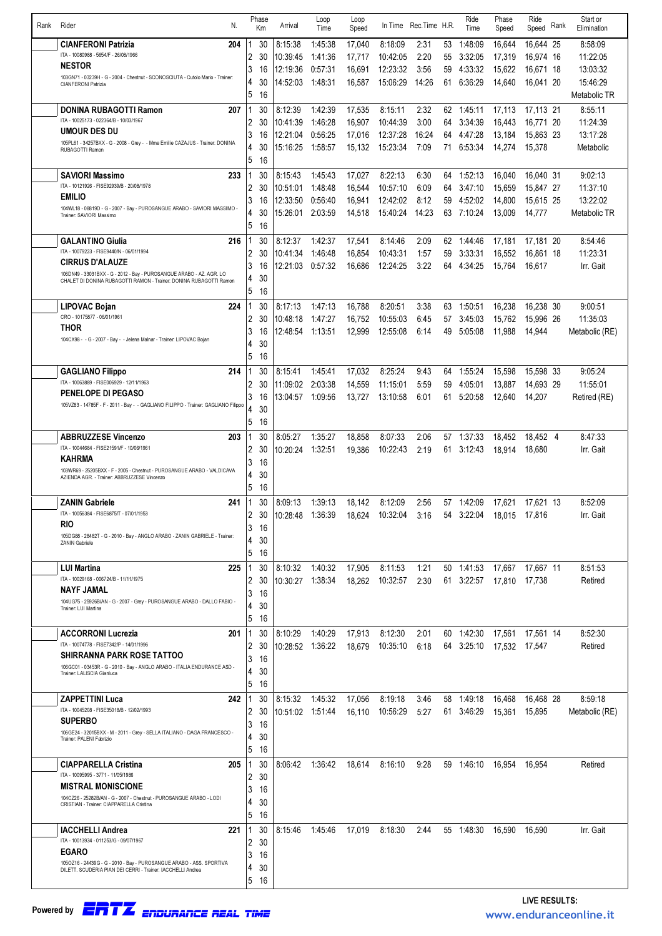| Rank | N.<br>Rider                                                                                                     |                     | Phase<br>Km | Arrival                      | Loop<br>Time       | Loop<br>Speed    | In Time              | Rec.Time H.R. |          | Ride<br>Time                           | Phase<br>Speed   | Ride<br>Speed       | Rank | Start or<br>Elimination   |
|------|-----------------------------------------------------------------------------------------------------------------|---------------------|-------------|------------------------------|--------------------|------------------|----------------------|---------------|----------|----------------------------------------|------------------|---------------------|------|---------------------------|
|      | <b>CIANFERONI Patrizia</b><br>204                                                                               |                     | 30          | 8:15:38                      | 1:45:38            | 17,040           | 8:18:09              | 2:31          | 53       | 1:48:09                                | 16,644           | 16.644 25           |      | 8:58:09                   |
|      | ITA - 10080988 - 5654/F - 26/08/1966                                                                            | $\overline{2}$      | 30          | 10:39:45                     | 1:41:36            | 17.717           | 10:42:05             | 2:20          | 55       | 3:32:05                                | 17,319           | 16,974 16           |      | 11:22:05                  |
|      | <b>NESTOR</b>                                                                                                   | 3                   | 16          | 12:19:36                     | 0:57:31            | 16.691           | 12:23:32             | 3:56          | 59       | 4:33:32                                | 15,622           | 16,671 18           |      | 13:03:32                  |
|      | 103GN71 - 03239H - G - 2004 - Chestnut - SCONOSCIUTA - Cutolo Mario - Trainer:<br>CIANFERONI Patrizia           | 4                   | 30          | 14:52:03                     | 1:48:31            | 16,587           | 15:06:29             | 14:26         | 61       | 6:36:29                                | 14,640           | 16,041 20           |      | 15:46:29                  |
|      |                                                                                                                 | 5                   | 16          |                              |                    |                  |                      |               |          |                                        |                  |                     |      | Metabolic TR              |
|      | 207<br>DONINA RUBAGOTTI Ramon                                                                                   |                     | 30          | 8:12:39                      | 1:42:39            | 17,535           | 8:15:11              | 2:32          |          | 62 1:45:11                             | 17,113           | 17,113 21           |      | 8:55:11                   |
|      | ITA - 10025173 - 022364/B - 10/03/1967                                                                          | 2                   | 30          | 10:41:39                     | 1:46:28            | 16.907           | 10:44:39             | 3:00          | 64       | 3:34:39                                | 16,443           | 16.771 20           |      | 11:24:39                  |
|      | <b>UMOUR DES DU</b>                                                                                             | 3                   | 16          | 12:21:04                     | 0:56:25            | 17,016           | 12:37:28             | 16:24         | 64       | 4:47:28                                | 13,184           | 15,863 23           |      | 13:17:28                  |
|      | 105PL61 - 34257BXX - G - 2008 - Grey - - Mme Emilie CAZAJUS - Trainer: DONINA<br>RUBAGOTTI Ramon                | 4                   | 30          | 15:16:25                     | 1:58:57            | 15,132           | 15:23:34             | 7:09          | 71       | 6:53:34                                | 14,274           | 15.378              |      | Metabolic                 |
|      |                                                                                                                 | 5                   | 16          |                              |                    |                  |                      |               |          |                                        |                  |                     |      |                           |
|      | <b>SAVIORI Massimo</b><br>233                                                                                   |                     | 30          | 8:15:43                      | 1:45:43            | 17,027           | 8:22:13              | 6:30          | 64       | 1:52:13                                | 16,040           | 16,040 31           |      | 9:02:13                   |
|      | ITA - 10121926 - FISE92939/B - 20/08/1978<br><b>EMILIO</b>                                                      | 2                   | 30          | 10:51:01                     | 1:48:48            | 16.544           | 10:57:10             | 6:09          | 64       | 3:47:10                                | 15.659           | 15.847 27           |      | 11:37:10                  |
|      | 104WL18 - 08819D - G - 2007 - Bay - PUROSANGUE ARABO - SAVIORI MASSIMO -                                        | 3                   | 16          | 12:33:50                     | 0:56:40            | 16,941           | 12:42:02             | 8:12          | 59       | 4:52:02                                | 14,800           | 15,615 25           |      | 13:22:02                  |
|      | Trainer: SAVIORI Massimo                                                                                        | 4                   | 30          | 15:26:01                     | 2:03:59            | 14,518           | 15:40:24             | 14:23         |          | 63 7:10:24                             | 13,009           | 14.777              |      | Metabolic TR              |
|      |                                                                                                                 | 5                   | 16          |                              |                    |                  |                      |               |          |                                        |                  |                     |      |                           |
|      | <b>GALANTINO Giulia</b><br>216<br>ITA - 10079223 - FISE9440/N - 06/01/1994                                      |                     | 30          | 8:12:37                      | 1:42:37            | 17,541           | 8:14:46              | 2:09          | 62       | 1:44:46                                | 17,181           | 17,181 20           |      | 8:54:46                   |
|      | <b>CIRRUS D'ALAUZE</b>                                                                                          | $\overline{2}$<br>3 | 30<br>16    | 10:41:34<br>12:21:03         | 1:46:48<br>0:57:32 | 16,854<br>16,686 | 10:43:31<br>12:24:25 | 1:57<br>3:22  | 59<br>64 | 3:33:31<br>4:34:25                     | 16,552<br>15,764 | 16.861 18<br>16.617 |      | 11:23:31<br>Irr. Gait     |
|      | 106DN49 - 33031BXX - G - 2012 - Bay - PUROSANGUE ARABO - AZ. AGR. LO                                            | 4                   | 30          |                              |                    |                  |                      |               |          |                                        |                  |                     |      |                           |
|      | CHALET DI DONINA RUBAGOTTI RAMON - Trainer: DONINA RUBAGOTTI Ramon                                              | 5                   | 16          |                              |                    |                  |                      |               |          |                                        |                  |                     |      |                           |
|      | 224<br>LIPOVAC Bojan                                                                                            |                     | 30          | 8:17:13                      | 1:47:13            | 16.788           | 8:20:51              | 3:38          | 63       | 1:50:51                                | 16,238           | 16,238 30           |      | 9:00:51                   |
|      | CRO - 10175877 - 06/01/1961                                                                                     | 2                   | 30          | 10:48:18                     | 1:47:27            | 16,752           | 10:55:03             | 6:45          | 57       | 3:45:03                                | 15,762           | 15,996 26           |      | 11:35:03                  |
|      | THOR                                                                                                            | 3                   | 16          | 12:48:54                     | 1:13:51            | 12,999           | 12:55:08             | 6:14          | 49       | 5:05:08                                | 11.988           | 14,944              |      | Metabolic (RE)            |
|      | 104CX98 - - G - 2007 - Bay - - Jelena Malnar - Trainer: LIPOVAC Bojan                                           | 4                   | 30          |                              |                    |                  |                      |               |          |                                        |                  |                     |      |                           |
|      |                                                                                                                 | 5                   | 16          |                              |                    |                  |                      |               |          |                                        |                  |                     |      |                           |
|      | 214<br><b>GAGLIANO Filippo</b>                                                                                  | -1                  | 30          | 8:15:41                      | 1:45:41            | 17,032           | 8:25:24              | 9:43          | 64       | 1:55:24                                | 15,598           | 15,598 33           |      | 9:05:24                   |
|      | ITA - 10063889 - FISE006929 - 12/11/1963                                                                        | 2                   | 30          | 11:09:02                     | 2:03:38            | 14,559           | 11:15:01             | 5:59          | 59       | 4:05:01                                | 13.887           | 14.693 29           |      | 11:55:01                  |
|      | <b>PENELOPE DI PEGASO</b>                                                                                       | 3                   | 16          | 13:04:57                     | 1:09:56            | 13,727           | 13:10:58             | 6:01          | 61       | 5:20:58                                | 12,640           | 14,207              |      | Retired (RE)              |
|      | 105VZ83 - 14785F - F - 2011 - Bay - - GAGLIANO FILIPPO - Trainer: GAGLIANO Filippo                              | 4                   | 30          |                              |                    |                  |                      |               |          |                                        |                  |                     |      |                           |
|      |                                                                                                                 | 5                   | 16          |                              |                    |                  |                      |               |          |                                        |                  |                     |      |                           |
|      | <b>ABBRUZZESE Vincenzo</b><br>203                                                                               |                     | 30          | 8:05:27                      | 1:35:27            | 18,858           | 8:07:33              | 2:06          | 57       | 1:37:33                                | 18,452           | 18,452 4            |      | 8:47:33                   |
|      | ITA - 10044684 - FISE21591/F - 10/06/1961<br><b>KAHRMA</b>                                                      | $\overline{2}$      | 30          | 10:20:24                     | 1:32:51            | 19,386           | 10:22:43             | 2:19          | 61       | 3:12:43                                | 18,914           | 18.680              |      | Irr. Gait                 |
|      | 103WR69 - 25205BXX - F - 2005 - Chestnut - PUROSANGUE ARABO - VALDICAVA                                         | 3                   | 16          |                              |                    |                  |                      |               |          |                                        |                  |                     |      |                           |
|      | AZIENDA AGR. - Trainer: ABBRUZZESE Vincenzo                                                                     | 4<br>5              | 30<br>16    |                              |                    |                  |                      |               |          |                                        |                  |                     |      |                           |
|      | <b>ZANIN Gabriele</b><br>241                                                                                    |                     | 30          | 8:09:13                      | 1:39:13            |                  | 8:12:09              | 2:56          |          |                                        |                  |                     |      | 8:52:09                   |
|      | ITA - 10056384 - FISE6875/T - 07/01/1953                                                                        | 2.                  | 30          | 10:28:48 1:36:39             |                    | 18,142           | 18,624 10:32:04 3:16 |               |          | 57 1:42:09<br>54 3:22:04 18,015 17,816 | 17,621           | 17,621 13           |      | Irr. Gait                 |
|      | <b>RIO</b>                                                                                                      | 3                   | 16          |                              |                    |                  |                      |               |          |                                        |                  |                     |      |                           |
|      | 105DG88 - 28482T - G - 2010 - Bay - ANGLO ARABO - ZANIN GABRIELE - Trainer:<br>ZANIN Gabriele                   | 4                   | 30          |                              |                    |                  |                      |               |          |                                        |                  |                     |      |                           |
|      |                                                                                                                 | 5                   | 16          |                              |                    |                  |                      |               |          |                                        |                  |                     |      |                           |
|      | 225<br><b>LUI Martina</b>                                                                                       | 1                   | 30          | 8:10:32                      | 1:40:32            | 17,905           | 8:11:53              | 1:21          |          | 50 1:41:53                             | 17,667           | 17,667 11           |      | 8:51:53                   |
|      | ITA - 10029168 - 006724/B - 11/11/1975                                                                          | 2                   | 30          | 10:30:27                     | 1:38:34            | 18,262           | 10:32:57             | 2:30          |          | 61 3:22:57                             | 17,810           | 17,738              |      | Retired                   |
|      | NAYF JAMAL                                                                                                      | 3                   | 16          |                              |                    |                  |                      |               |          |                                        |                  |                     |      |                           |
|      | 104UG75 - 25926B/AN - G - 2007 - Grey - PUROSANGUE ARABO - DALLO FABIO -<br>Trainer: LUI Martina                | 4                   | 30          |                              |                    |                  |                      |               |          |                                        |                  |                     |      |                           |
|      |                                                                                                                 | 5                   | 16          |                              |                    |                  |                      |               |          |                                        |                  |                     |      |                           |
|      | <b>ACCORRONI Lucrezia</b><br>201                                                                                | 1                   | 30          | 8:10:29                      | 1:40:29            | 17,913           | 8:12:30              | 2:01          |          | 60 1:42:30                             | 17,561           | 17,561 14           |      | 8:52:30                   |
|      | ITA - 10074778 - FISE7342/P - 14/01/1996<br><b>SHIRRANNA PARK ROSE TATTOO</b>                                   | 2                   | 30          | 10:28:52 1:36:22             |                    | 18,679           | 10:35:10             | 6:18          |          | 64 3:25:10                             | 17,532           | 17.547              |      | Retired                   |
|      | 106GC01 - 03453R - G - 2010 - Bay - ANGLO ARABO - ITALIA ENDURANCE ASD -                                        | 3                   | 16          |                              |                    |                  |                      |               |          |                                        |                  |                     |      |                           |
|      | Trainer: LALISCIA Gianluca                                                                                      | 4<br>5              | 30<br>16    |                              |                    |                  |                      |               |          |                                        |                  |                     |      |                           |
|      |                                                                                                                 |                     |             |                              |                    |                  |                      |               |          |                                        |                  |                     |      |                           |
|      | <b>ZAPPETTINI Luca</b><br>242<br>ITA - 10045208 - FISE35018/B - 12/02/1993                                      | 1<br>2              | 30<br>30    | 8:15:32<br>10:51:02  1:51:44 | 1:45:32            | 17,056<br>16,110 | 8:19:18<br>10:56:29  | 3:46<br>5:27  | 58       | 1:49:18<br>61 3:46:29                  | 16,468<br>15,361 | 16,468 28<br>15,895 |      | 8:59:18<br>Metabolic (RE) |
|      | <b>SUPERBO</b>                                                                                                  | 3                   | 16          |                              |                    |                  |                      |               |          |                                        |                  |                     |      |                           |
|      | 106GE24 - 32015BXX - M - 2011 - Grey - SELLA ITALIANO - DAGA FRANCESCO -<br>Trainer: PALENI Fabrizio            | 4                   | 30          |                              |                    |                  |                      |               |          |                                        |                  |                     |      |                           |
|      |                                                                                                                 | 5                   | 16          |                              |                    |                  |                      |               |          |                                        |                  |                     |      |                           |
|      | 205<br><b>CIAPPARELLA Cristina</b>                                                                              |                     | 30          | 8:06:42                      | 1:36:42            | 18,614           | 8:16:10              | 9:28          |          | 59 1:46:10                             | 16.954           | 16.954              |      | Retired                   |
|      | ITA - 10095995 - 3771 - 11/05/1986                                                                              | 2                   | 30          |                              |                    |                  |                      |               |          |                                        |                  |                     |      |                           |
|      | <b>MISTRAL MONISCIONE</b>                                                                                       | 3                   | 16          |                              |                    |                  |                      |               |          |                                        |                  |                     |      |                           |
|      | 104CZ26 - 25282B/AN - G - 2007 - Chestnut - PUROSANGUE ARABO - LODI<br>CRISTIAN - Trainer: CIAPPARELLA Cristina | 4                   | 30          |                              |                    |                  |                      |               |          |                                        |                  |                     |      |                           |
|      |                                                                                                                 | 5                   | 16          |                              |                    |                  |                      |               |          |                                        |                  |                     |      |                           |
|      | <b>IACCHELLI Andrea</b><br>221                                                                                  |                     | 30          | 8:15:46                      | 1:45:46            | 17,019           | 8:18:30              | 2:44          |          | 55 1:48:30                             | 16,590           | 16,590              |      | Irr. Gait                 |
|      | ITA - 100 13934 - 011253/G - 09/07/1967<br><b>EGARO</b>                                                         | 2                   | 30          |                              |                    |                  |                      |               |          |                                        |                  |                     |      |                           |
|      | 1050Z16 - 24439G - G - 2010 - Bay - PUROSANGUE ARABO - ASS. SPORTIVA                                            | 3                   | 16          |                              |                    |                  |                      |               |          |                                        |                  |                     |      |                           |
|      | DILETT, SCUDERIA PIAN DEI CERRI - Trainer: IACCHELLI Andrea                                                     | 4                   | 30          |                              |                    |                  |                      |               |          |                                        |                  |                     |      |                           |
|      |                                                                                                                 | 5                   | - 16        |                              |                    |                  |                      |               |          |                                        |                  |                     |      |                           |

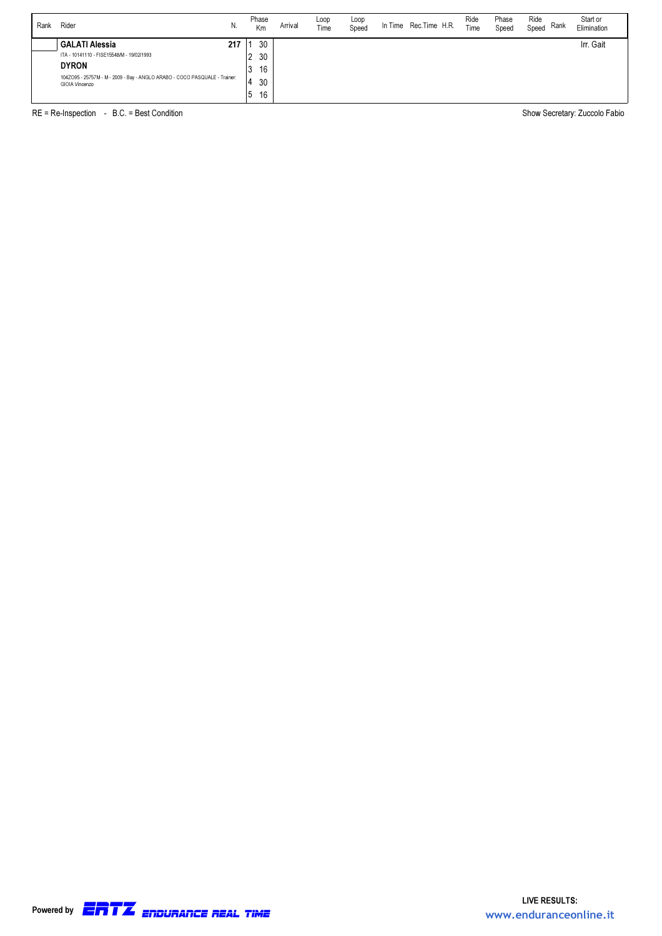| Rank | Rider<br>N.                                                                                  | Phase<br>Km  | Arrival | Loop<br>Time | Loop<br>Speed | In Time | Rec.Time H.R. | Ride<br>Time | Phase<br>Speed | Ride<br>Rank<br>Speed | Start or<br>Elimination |
|------|----------------------------------------------------------------------------------------------|--------------|---------|--------------|---------------|---------|---------------|--------------|----------------|-----------------------|-------------------------|
|      | <b>GALATI Alessia</b><br>217                                                                 | 30           |         |              |               |         |               |              |                |                       | Irr. Gait               |
|      | ITA - 10141110 - FISE15548/M - 19/02/1993                                                    | 30<br>າ<br>∠ |         |              |               |         |               |              |                |                       |                         |
|      | <b>DYRON</b>                                                                                 | 16<br>J      |         |              |               |         |               |              |                |                       |                         |
|      | 104Z095 - 25757M - M - 2009 - Bay - ANGLO ARABO - COCO PASQUALE - Trainer:<br>GIOIA Vincenzo | 30           |         |              |               |         |               |              |                |                       |                         |
|      |                                                                                              | 16<br>b      |         |              |               |         |               |              |                |                       |                         |

RE = Re-Inspection - B.C. = Best Condition Show Secretary: Zuccolo Fabio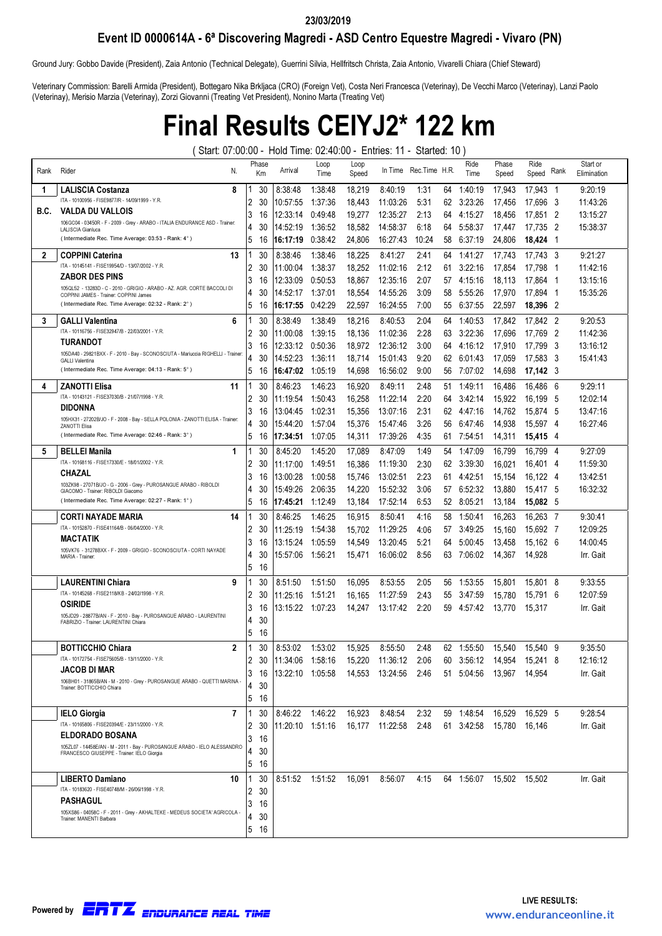#### 23/03/2019

#### Event ID 0000614A - 6ª Discovering Magredi - ASD Centro Equestre Magredi - Vivaro (PN)

Ground Jury: Gobbo Davide (President), Zaia Antonio (Technical Delegate), Guerrini Silvia, Hellfritsch Christa, Zaia Antonio, Vivarelli Chiara (Chief Steward)

Veterinary Commission: Barelli Armida (President), Bottegaro Nika Brkljaca (CRO) (Foreign Vet), Costa Neri Francesca (Veterinay), De Vecchi Marco (Veterinay), Lanzi Paolo (Veterinay), Merisio Marzia (Veterinay), Zorzi Giovanni (Treating Vet President), Nonino Marta (Treating Vet)

# Final Results CEIYJ2\* 122 km

( Start: 07:00:00 - Hold Time: 02:40:00 - Entries: 11 - Started: 10 )

| Rank | Rider<br>N.                                                                                                        |   | Phase<br>Кm | Arrival             | Loop<br>Time | Loop<br>Speed | In Time  | Rec.Time H.R. |    | Ride<br>Time | Phase<br>Speed | Ride<br>Speed | Rank           | Start or<br>Elimination |
|------|--------------------------------------------------------------------------------------------------------------------|---|-------------|---------------------|--------------|---------------|----------|---------------|----|--------------|----------------|---------------|----------------|-------------------------|
| -1   | 8<br><b>LALISCIA Costanza</b>                                                                                      |   | 30          | 8:38:48             | 1:38:48      | 18,219        | 8:40:19  | 1:31          | 64 | 1:40:19      | 17,943         | 17.943 1      |                | 9:20:19                 |
|      | ITA - 10100956 - FISE9877/R - 14/09/1999 - Y.R.                                                                    | 2 | 30          | 10:57:55            | 1:37:36      | 18,443        | 11:03:26 | 5:31          | 62 | 3:23:26      | 17,456         | 17.696        | - 3            | 11:43:26                |
| B.C. | VALDA DU VALLOIS<br>106GC04 - 03450R - F - 2009 - Grev - ARABO - ITALIA ENDURANCE ASD - Trainer:                   | 3 | 16          | 12:33:14            | 0:49:48      | 19,277        | 12:35:27 | 2:13          | 64 | 4:15:27      | 18,456         | 17.851 2      |                | 13:15:27                |
|      | LALISCIA Gianluca                                                                                                  | 4 | 30          | 14:52:19            | 1:36:52      | 18,582        | 14:58:37 | 6:18          | 64 | 5:58:37      | 17.447         | 17,735        | $\overline{2}$ | 15:38:37                |
|      | (Intermediate Rec. Time Average: 03:53 - Rank: 4°)                                                                 | 5 | 16          | 16:17:19            | 0:38:42      | 24,806        | 16:27:43 | 10:24         | 58 | 6:37:19      | 24,806         | 18,424        | -1             |                         |
| 2    | <b>COPPINI Caterina</b><br>13                                                                                      |   | 30          | 8:38:46             | 1:38:46      | 18,225        | 8:41:27  | 2:41          | 64 | 1:41:27      | 17.743         | 17.743 3      |                | 9:21:27                 |
|      | ITA - 10145141 - FISE19954/D - 13/07/2002 - Y.R.                                                                   | 2 | 30          | 11:00:04            | 1:38:37      | 18,252        | 11:02:16 | 2:12          | 61 | 3:22:16      | 17,854         | 17.798        | -1             | 11:42:16                |
|      | <b>ZABOR DES PINS</b>                                                                                              | 3 | 16          | 12:33:09            | 0:50:53      | 18.867        | 12:35:16 | 2:07          | 57 | 4:15:16      | 18,113         | 17.864        | -1             | 13:15:16                |
|      | 105QL52 - 13283D - C - 2010 - GRIGIO - ARABO - AZ. AGR. CORTE BACCOLI DI<br>COPPINI JAMES - Trainer: COPPINI James | 4 | 30          | 14:52:17            | 1:37:01      | 18,554        | 14:55:26 | 3:09          | 58 | 5:55:26      | 17,970         | 17,894        | - 1            | 15:35:26                |
|      | (Intermediate Rec. Time Average: 02:32 - Rank: 2°)                                                                 | 5 | 16          | 16:17:55            | 0:42:29      | 22,597        | 16:24:55 | 7:00          | 55 | 6:37:55      | 22,597         | 18,396 2      |                |                         |
| 3    | 6<br><b>GALLI Valentina</b>                                                                                        |   | 30          | 8:38:49             | 1:38:49      | 18,216        | 8:40:53  | 2:04          | 64 | 1:40:53      | 17.842         | 17,842 2      |                | 9:20:53                 |
|      | ITA - 10116756 - FISE32947/B - 22/03/2001 - Y.R.                                                                   | 2 | 30          | 11:00:08            | 1:39:15      | 18.136        | 11:02:36 | 2:28          | 63 | 3:22:36      | 17.696         | 17,769        | - 2            | 11:42:36                |
|      | TURANDOT                                                                                                           | 3 | 16          | 12:33:12            | 0:50:36      | 18,972        | 12:36:12 | 3:00          | 64 | 4:16:12      | 17,910         | 17.799        | - 3            | 13:16:12                |
|      | 105DA40 - 29821BXX - F - 2010 - Bay - SCONOSCIUTA - Mariuccia RIGHELLI - Trainer<br><b>GALLI Valentina</b>         | 4 | 30          | 14:52:23            | 1:36:11      | 18.714        | 15:01:43 | 9:20          | 62 | 6:01:43      | 17.059         | 17.583        | - 3            | 15:41:43                |
|      | (Intermediate Rec. Time Average: 04:13 - Rank: 5°)                                                                 | 5 | 16          | 16:47:02            | 1:05:19      | 14,698        | 16:56:02 | 9:00          | 56 | 7:07:02      | 14,698         | 17,142 3      |                |                         |
| 4    | 11<br><b>ZANOTTI Elisa</b>                                                                                         |   | 30          | 8:46:23             | 1:46:23      | 16,920        | 8:49:11  | 2:48          | 51 | 1:49:11      | 16,486         | 16,486        | - 6            | 9:29:11                 |
|      | ITA - 10143121 - FISE37030/B - 21/07/1998 - Y.R.                                                                   | 2 | 30          | 11:19:54            | 1:50:43      | 16,258        | 11:22:14 | 2:20          | 64 | 3:42:14      | 15,922         | 16.199        | - 5            | 12:02:14                |
|      | <b>DIDONNA</b>                                                                                                     | 3 | 16          | 13:04:45            | 1:02:31      | 15,356        | 13:07:16 | 2:31          | 62 | 4:47:16      | 14,762         | 15,874        | - 5            | 13:47:16                |
|      | 105HX31 - 27202B/JO - F - 2008 - Bav - SELLA POLONIA - ZANOTTI ELISA - Trainer:<br>ZANOTTI Elisa                   | 4 | 30          | 15:44:20            | 1:57:04      | 15,376        | 15:47:46 | 3:26          | 56 | 6:47:46      | 14,938         | 15.597        | - 4            | 16:27:46                |
|      | (Intermediate Rec. Time Average: 02:46 - Rank: 3°)                                                                 | 5 | 16          | 17:34:51            | 1:07:05      | 14,311        | 17:39:26 | 4:35          | 61 | 7:54:51      | 14,311         | 15.415 4      |                |                         |
| 5    | <b>BELLEI Manila</b><br>1                                                                                          |   | 30          | 8:45:20             | 1:45:20      | 17,089        | 8:47:09  | 1:49          | 54 | 1:47:09      | 16,799         | 16.799        | - 4            | 9:27:09                 |
|      | ITA - 10168116 - FISE17330/E - 18/01/2002 - Y.R.                                                                   | 2 | 30          | 11:17:00            | 1:49:51      | 16,386        | 11:19:30 | 2:30          | 62 | 3:39:30      | 16.021         | 16.401 4      |                | 11:59:30                |
|      | CHAZAL                                                                                                             | 3 | 16          | 13:00:28            | 1:00:58      | 15.746        | 13:02:51 | 2:23          | 61 | 4:42:51      | 15,154         | 16.122 4      |                | 13:42:51                |
|      | 103ZK98 - 27071B/JO - G - 2006 - Grey - PUROSANGUE ARABO - RIBOLDI<br>GIACOMO - Trainer: RIBOLDI Giacomo           | 4 | 30          | 15:49:26            | 2:06:35      | 14,220        | 15:52:32 | 3:06          | 57 | 6:52:32      | 13,880         | 15,417 5      |                | 16:32:32                |
|      | (Intermediate Rec. Time Average: 02:27 - Rank: 1°)                                                                 | 5 | 16          | 17:45:21            | 1:12:49      | 13,184        | 17:52:14 | 6:53          | 52 | 8:05:21      | 13,184         | 15,082 5      |                |                         |
|      | <b>CORTI NAYADE MARIA</b><br>14                                                                                    |   | 30          | 8:46:25             | 1:46:25      | 16,915        | 8:50:41  | 4:16          | 58 | 1:50:41      | 16.263         | 16.263 7      |                | 9:30:41                 |
|      | ITA - 10152870 - FISE41164/B - 06/04/2000 - Y.R.                                                                   | 2 | 30          | 11:25:19            | 1:54:38      | 15,702        | 11:29:25 | 4:06          | 57 | 3:49:25      | 15,160         | 15,692 7      |                | 12:09:25                |
|      | MACTATIK                                                                                                           | 3 | 16          | 13:15:24            | 1:05:59      | 14,549        | 13:20:45 | 5:21          | 64 | 5:00:45      | 13.458         | 15.162 6      |                | 14:00:45                |
|      | 105VK76 - 31278BXX - F - 2009 - GRIGIO - SCONOSCIUTA - CORTI NAYADE<br>MARIA - Trainer:                            | 4 | 30          | 15:57:06            | 1:56:21      | 15,471        | 16:06:02 | 8:56          | 63 | 7:06:02      | 14,367         | 14.928        |                | Irr. Gait               |
|      |                                                                                                                    | 5 | 16          |                     |              |               |          |               |    |              |                |               |                |                         |
|      | <b>LAURENTINI Chiara</b><br>9                                                                                      |   | 30          | 8:51:50             | 1:51:50      | 16,095        | 8:53:55  | 2:05          | 56 | 1:53:55      | 15,801         | 15,801 8      |                | 9:33:55                 |
|      | ITA - 10145268 - FISE2118/KB - 24/02/1998 - Y.R.                                                                   | 2 | 30          | 11:25:16            | 1:51:21      | 16.165        | 11:27:59 | 2:43          | 55 | 3:47:59      | 15.780         | 15.791 6      |                | 12:07:59                |
|      | <b>OSIRIDE</b>                                                                                                     | 3 | 16          | 13:15:22            | 1:07:23      | 14,247        | 13:17:42 | 2:20          | 59 | 4:57:42      | 13,770         | 15,317        |                | Irr. Gait               |
|      | 105JD29 - 28877B/AN - F - 2010 - Bay - PUROSANGUE ARABO - LAURENTIN<br>FABRIZIO - Trainer: LAURENTINI Chiara       | 4 | 30          |                     |              |               |          |               |    |              |                |               |                |                         |
|      |                                                                                                                    | 5 | 16          |                     |              |               |          |               |    |              |                |               |                |                         |
|      | <b>BOTTICCHIO Chiara</b><br>$\mathbf{2}$                                                                           |   | 30          | 8:53:02             | 1:53:02      | 15,925        | 8:55:50  | 2:48          | 62 | 1:55:50      | 15,540         | 15.540 9      |                | 9:35:50                 |
|      | ITA - 10172754 - FISE75605/B - 13/11/2000 - Y.R.                                                                   | 2 | 30          | $ 11:34:06$ 1:58:16 |              | 15,220        | 11:36:12 | 2:06          | 60 | 3:56:12      | 14,954         | 15,241 8      |                | 12:16:12                |
|      | JACOB DI MAR<br>106BH01 - 31865B/AN - M - 2010 - Grey - PUROSANGUE ARABO - QUETTI MARINA                           | 3 | 16          | 13:22:10 1:05:58    |              | 14,553        | 13:24:56 | 2:46          | 51 | 5:04:56      | 13,967         | 14.954        |                | Irr. Gait               |
|      | Trainer, BOTTICCHIO Chiara                                                                                         | 4 | 30          |                     |              |               |          |               |    |              |                |               |                |                         |
|      |                                                                                                                    | 5 | 16          |                     |              |               |          |               |    |              |                |               |                |                         |
|      | 7<br><b>IELO Giorgia</b>                                                                                           |   | 30          | 8:46:22             | 1:46:22      | 16,923        | 8:48:54  | 2:32          | 59 | 1:48:54      | 16,529         | 16.529 5      |                | 9:28:54                 |
|      | ITA - 10165806 - FISE20394/E - 23/11/2000 - Y.R.                                                                   | 2 | 30          | 11:20:10 1:51:16    |              | 16,177        | 11:22:58 | 2:48          | 61 | 3:42:58      | 15,780         | 16,146        |                | Irr. Gait               |
|      | <b>ELDORADO BOSANA</b><br>105ZL07 - 14458E/AN - M - 2011 - Bay - PUROSANGUE ARABO - IELO ALESSANDRO                | 3 | 16          |                     |              |               |          |               |    |              |                |               |                |                         |
|      | FRANCESCO GIUSEPPE - Trainer: IELO Giorgia                                                                         | 4 | 30          |                     |              |               |          |               |    |              |                |               |                |                         |
|      |                                                                                                                    | 5 | 16          |                     |              |               |          |               |    |              |                |               |                |                         |
|      | <b>LIBERTO Damiano</b><br>10                                                                                       |   | 30          | 8:51:52 1:51:52     |              | 16,091        | 8:56:07  | 4:15          |    | 64 1:56:07   | 15,502 15,502  |               |                | Irr. Gait               |
|      | ITA - 10183620 - FISE40748/M - 26/06/1998 - Y.R.                                                                   | 2 | 30          |                     |              |               |          |               |    |              |                |               |                |                         |
|      | PASHAGUL<br>105XS86 - 04058C - F - 2011 - Grey - AKHALTEKE - MEDEUS SOCIETA' AGRICOLA                              | 3 | 16          |                     |              |               |          |               |    |              |                |               |                |                         |
|      | Trainer. MANENTI Barbara                                                                                           | 4 | 30          |                     |              |               |          |               |    |              |                |               |                |                         |
|      |                                                                                                                    | 5 | -16         |                     |              |               |          |               |    |              |                |               |                |                         |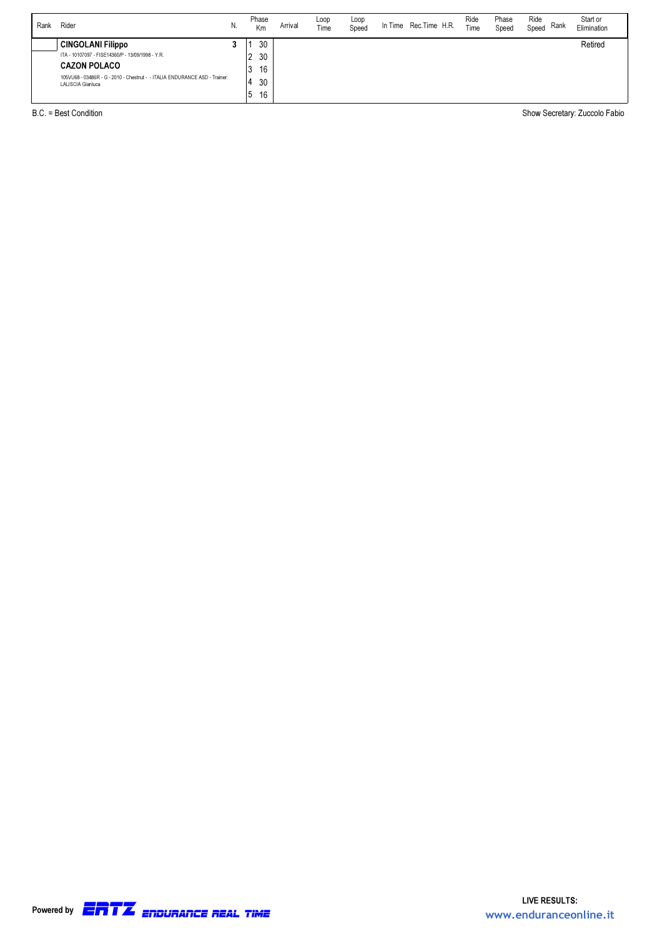| Rank | Rider                                                                                           | N. | Phase<br>Km    | Arrival | Loop<br>Time | Loop<br>Speed | In Time | Rec.Time H.R. | Ride<br>Time | Phase<br>Speed | Ride<br>Rank<br>Speed | Start or<br>Elimination |
|------|-------------------------------------------------------------------------------------------------|----|----------------|---------|--------------|---------------|---------|---------------|--------------|----------------|-----------------------|-------------------------|
|      | <b>CINGOLANI Filippo</b>                                                                        |    | 30             |         |              |               |         |               |              |                |                       | Retired                 |
|      | ITA - 10107097 - FISE14360/P - 13/09/1998 - Y.R.                                                |    | 30<br><u>.</u> |         |              |               |         |               |              |                |                       |                         |
|      | <b>CAZON POLACO</b>                                                                             |    | 16             |         |              |               |         |               |              |                |                       |                         |
|      | 105VU68 - 03486R - G - 2010 - Chestnut - - ITALIA ENDURANCE ASD - Trainer:<br>LALISCIA Gianluca |    | 30             |         |              |               |         |               |              |                |                       |                         |
|      |                                                                                                 |    | 16<br>5        |         |              |               |         |               |              |                |                       |                         |

B.C. = Best Condition Show Secretary: Zuccolo Fabio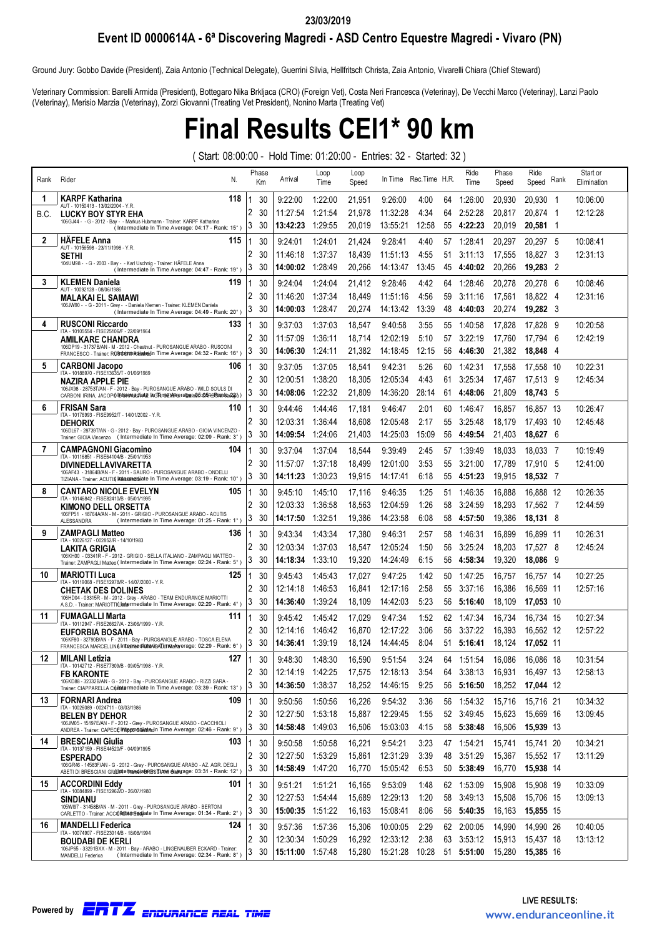### 23/03/2019

Event ID 0000614A - 6ª Discovering Magredi - ASD Centro Equestre Magredi - Vivaro (PN)

Ground Jury: Gobbo Davide (President), Zaia Antonio (Technical Delegate), Guerrini Silvia, Hellfritsch Christa, Zaia Antonio, Vivarelli Chiara (Chief Steward)

Veterinary Commission: Barelli Armida (President), Bottegaro Nika Brkljaca (CRO) (Foreign Vet), Costa Neri Francesca (Veterinay), De Vecchi Marco (Veterinay), Lanzi Paolo (Veterinay), Merisio Marzia (Veterinay), Zorzi Giovanni (Treating Vet President), Nonino Marta (Treating Vet)

## Final Results CEI1\* 90 km

( Start: 08:00:00 - Hold Time: 01:20:00 - Entries: 32 - Started: 32 )

| Rank         | Rider<br>N.                                                                                                                                                    |   | Phase<br>Кm | Arrival          | Loop<br>Time | Loop<br>Speed | In Time                              | Rec.Time H.R. |    | Ride<br>Time | Phase<br>Speed | Ride<br>Speed Rank | Start or<br>Elimination |
|--------------|----------------------------------------------------------------------------------------------------------------------------------------------------------------|---|-------------|------------------|--------------|---------------|--------------------------------------|---------------|----|--------------|----------------|--------------------|-------------------------|
| 1            | <b>KARPF Katharina</b><br>118<br>AUT - 10150413 - 13/02/2004 - Y.R.                                                                                            |   | 30          | 9:22:00          | 1:22:00      | 21,951        | 9:26:00                              | 4:00          | 64 | 1:26:00      | 20,930         | 20,930 1           | 10:06:00                |
| B.C.         | <b>LUCKY BOY STYR EHA</b>                                                                                                                                      | 2 | 30          | 11:27:54         | 1:21:54      | 21,978        | 11:32:28                             | 4:34          | 64 | 2:52:28      | 20,817         | 20,874 1           | 12:12:28                |
|              | 106GJ44 - - G - 2012 - Bay - - Markus Hubmann - Trainer: KARPF Katharina<br>(Intermediate In Time Average: 04:17 - Rank: 15°)                                  | 3 | 30          | 13:42:23         | 1:29:55      | 20,019        | 13:55:21                             | 12:58         | 55 | 4:22:23      | 20,019         | 20,581 1           |                         |
| $\mathbf{2}$ | <b>HAFELE Anna</b><br>115                                                                                                                                      |   | 30          | 9:24:01          | 1:24:01      | 21,424        | 9:28:41                              | 4:40          | 57 | 1:28:41      | 20,297         | 20,297 5           | 10:08:41                |
|              | AUT - 10156598 - 23/11/1998 - Y.R<br>SETHI                                                                                                                     | 2 | 30          | 11:46:18         | 1:37:37      | 18,439        | 11:51:13                             | 4:55          | 51 | 3:11:13      | 17,555         | 18,827<br>- 3      | 12:31:13                |
|              | 104UM98 - - G - 2003 - Bay - - Karl Uschnig - Trainer: HÄFELE Anna<br>(Intermediate In Time Average: 04:47 - Rank: 19°)                                        | 3 | 30          | 14:00:02         | 1:28:49      | 20,266        | 14:13:47                             | 13:45         | 45 | 4:40:02      | 20,266         | 19,283 2           |                         |
| 3            | <b>KLEMEN Daniela</b><br>119                                                                                                                                   |   | 30          | 9.24:04          | 1:24:04      | 21,412        | 9:28:46                              | 4:42          | 64 | 1:28:46      | 20.278         | 20.278<br>- 6      | 10:08:46                |
|              | AUT - 10092128 - 08/06/1986<br><b>MALAKAI EL SAMAWI</b>                                                                                                        | 2 | 30          | 11:46:20         | 1:37:34      | 18,449        | 11:51:16                             | 4:56          | 59 | 3:11:16      | 17,561         | 18,822 4           | 12:31:16                |
|              | 106JW90 - - G - 2011 - Grey - - Daniela Klemen - Trainer: KLEMEN Daniela<br>(Intermediate In Time Average: 04:49 - Rank: 20°)                                  | 3 | 30          | 14:00:03         | 1:28:47      | 20,274        | 14:13:42                             | 13:39         | 48 | 4:40:03      | 20,274         | 19,282 3           |                         |
| 4            | <b>RUSCONI Riccardo</b><br>133                                                                                                                                 |   | 30          | 9:37:03          | 1:37:03      | 18,547        | 9:40:58                              | 3:55          | 55 | 1:40:58      | 17,828         | 17.828<br>- 9      | 10:20:58                |
|              | ITA - 10105554 - FISE25106/F - 22/09/1964<br><b>AMILKARE CHANDRA</b>                                                                                           | 2 | 30          | 11:57:09         | 1:36:11      | 18,714        | 12:02:19                             | 5:10          | 57 | 3:22:19      | 17.760         | 17.794<br>- 6      | 12:42:19                |
|              | 106DP19 - 31737B/AN - M - 2012 - Chestnut - PUROSANGUE ARABO - RUSCONI<br>FRANCESCO - Trainer: RUBttentn Ridiatedn Time Average: 04:32 - Rank: 16°)            | 3 | 30          | 14:06:30         | 1:24:11      | 21,382        | 14:18:45                             | 12:15         | 56 | 4:46:30      | 21,382         | 18,848<br>- 4      |                         |
| 5            | <b>CARBONI Jacopo</b><br>106                                                                                                                                   | 1 | 30          | 9:37:05          | 1:37:05      | 18,541        | 9:42:31                              | 5:26          | 60 | 1:42:31      | 17,558         | 17.558 10          | 10:22:31                |
|              | ITA - 10188970 - FISE13635/T - 01/06/1989<br>NAZIRA APPLE PIE                                                                                                  | 2 | 30          | 12:00:51         | 1:38:20      | 18,305        | 12:05:34                             | 4:43          | 61 | 3:25:34      | 17,467         | 17,513 9           | 12:45:34                |
|              | 106JX98 - 28753T/AN - F - 2012 - Bay - PUROSANGUE ARABO - WILD SOULS DI<br>CARBONI IRINA, JACOPO IEfeinAtaldAaAE. IAGRinSEMRieraTgeine5:05RER2alnka2266)       | 3 | 30          | 14:08:06         | 1:22:32      | 21,809        | 14:36:20                             | 28:14         | 61 | 4:48:06      | 21,809         | 18,743 5           |                         |
| 6            | <b>FRISAN Sara</b><br>110                                                                                                                                      |   | 30          | 9:44:46          | 1:44:46      | 17,181        | 9:46:47                              | 2:01          | 60 | 1:46:47      | 16,857         | 16,857 13          | 10:26:47                |
|              | ITA - 10176993 - FISE9952/T - 14/01/2002 - Y.R<br><b>DEHORIX</b>                                                                                               | 2 | 30          | 12:03:31         | 1:36:44      | 18,608        | 12:05:48                             | 2:17          | 55 | 3:25:48      | 18,179         | 17,493 10          | 12:45:48                |
|              | 106DL67 - 28739T/AN - G - 2012 - Bay - PUROSANGUE ARABO - GIOIA VINCENZO -<br>Trainer. GIOIA Vincenzo (Intermediate In Time Average: 02:09 - Rank: 3°)         | 3 | 30          | 14:09:54         | 1:24:06      | 21,403        | 14:25:03                             | 15:09         | 56 | 4:49:54      | 21,403         | 18,627 6           |                         |
| 7            | <b>CAMPAGNONI Giacomino</b><br>104                                                                                                                             |   | 30          | 9:37:04          | 1:37:04      | 18,544        | 9:39:49                              | 2:45          | 57 | 1:39:49      | 18,033         | 18.033 7           | 10:19:49                |
|              | ITA - 10116851 - FISE64104/B - 25/01/1953<br><b>DIVINEDELLAVIVARETTA</b>                                                                                       | 2 | 30          | 11:57:07         | 1:37:18      | 18,499        | 12:01:00                             | 3:53          | 55 | 3:21:00      | 17,789         | 17,910 5           | 12:41:00                |
|              | 106AF43 - 31864B/AN - F - 2011 - SAURO - PUROSANGUE ARABO - ONDELLI<br>TIZIANA - Trainer: ACUTI & Kitessandräate In Time Average: 03:19 - Rank: 10°)           | 3 | 30          | 14:11:23         | 1:30:23      | 19,915        | 14:17:41                             | 6:18          | 55 | 4:51:23      | 19,915         | 18,532 7           |                         |
| 8            | <b>CANTARO NICOLE EVELYN</b><br>105                                                                                                                            |   | 30          | 9:45:10          | 1:45:10      | 17,116        | 9:46:35                              | 1:25          | 51 | 1:46:35      | 16,888         | 16,888 12          | 10:26:35                |
|              | ITA - 10146842 - FISE82410/B - 05/01/1995<br>KIMONO DELL ORSETTA                                                                                               | 2 | 30          | 12:03:33         | 1:36:58      | 18,563        | 12:04:59                             | 1:26          | 58 | 3:24:59      | 18,293         | 17,562 7           | 12:44:59                |
|              | 106FP51 - 18764A/AN - M - 2011 - GRIGIO - PUROSANGUE ARABO - ACUTIS<br>ALESSANDRA<br>(Intermediate In Time Average: 01:25 - Rank: 1°)                          | 3 | 30          | 14:17:50         | 1:32:51      | 19,386        | 14:23:58                             | 6:08          | 58 | 4:57:50      | 19,386         | 18,131 8           |                         |
| 9            | <b>ZAMPAGLI Matteo</b><br>136                                                                                                                                  |   | 30          | 9:43:34          | 1:43:34      | 17,380        | 9:46:31                              | 2:57          | 58 | 1:46:31      | 16,899         | 16,899 11          | 10:26:31                |
|              | ITA - 10026127 - 002852/R - 14/10/1983<br>LAKITA GRIGIA                                                                                                        | 2 | 30          | 12:03:34         | 1:37:03      | 18,547        | 12:05:24                             | 1:50          | 56 | 3:25:24      | 18,203         | 17.527 8           | 12:45:24                |
|              | 106KH00 - 03341R - F - 2012 - GRIGIO - SELLA ITALIANO - ZAMPAGLI MATTEO -<br>Trainer. ZAMPAGLI Matteo (Intermediate In Time Average: 02:24 - Rank: 5°)         | 3 | 30          | 14:18:34         | 1:33:10      | 19,320        | 14:24:49                             | 6:15          | 56 | 4:58:34      | 19,320         | 18,086<br>- 9      |                         |
| 10           | <b>MARIOTTI Luca</b><br>125                                                                                                                                    |   | 30          | 9:45:43          | 1:45:43      | 17,027        | 9:47:25                              | 1:42          | 50 | 1:47:25      | 16.757         | 16.757 14          | 10:27:25                |
|              | ITA - 10119068 - FISE12978/R - 14/07/2000 - Y.R.<br><b>CHETAK DES DOLINES</b>                                                                                  | 2 | 30          | 12:14:18         | 1:46:53      | 16,841        | 12:17:16                             | 2:58          | 55 | 3:37:16      | 16,386         | 16,569 11          | 12:57:16                |
|              | 106HD04 - 03315R - M - 2012 - Grey - ARABO - TEAM ENDURANCE MARIOTTI<br>A.S.D. - Trainer: MARIOTTI(Lindermediate In Time Average: 02:20 - Rank: 4°)            | 3 | 30          | 14:36:40         | 1:39:24      | 18,109        | 14:42:03                             | 5:23          | 56 | 5:16:40      | 18,109         | 17,053 10          |                         |
| 11           | <b>FUMAGALLI Marta</b><br>111                                                                                                                                  |   | 30          | 9:45:42          | 1:45:42      | 17,029        | 9:47:34                              | 1:52          | 62 | 1:47:34      | 16,734         | 16.734 15          | 10:27:34                |
|              | ITA - 10112947 - FISE26627/A - 23/06/1999 - Y.R.<br><b>EUFORBIA BOSANA</b>                                                                                     | 2 | 30          | 12:14:16         | 1:46:42      | 16,870        | 12:17:22                             | 3:06          | 56 | 3:37:22      | 16,393         | 16.562 12          | 12:57:22                |
|              | 106KF80 - 32790B/AN - F - 2011 - Bav - PUROSANGUE ARABO - TOSCA ELENA<br>FRANCESCA MARCELLINA Inframe di bitaAbATumdaRtarerage: 02:29 - Rank: 6°)              | 3 | 30          | 14:36:41         | 1:39:19      | 18,124        | 14:44:45                             | 8:04          | 51 | 5:16:41      | 18,124         | 17,052 11          |                         |
| 12           | <b>MILANI Letizia</b><br>127                                                                                                                                   |   | 30          | 9:48:30          | 1:48:30      | 16,590        | 9:51:54                              | 3:24          | 64 | 1:51:54      | 16.086         | 16.086 18          | 10:31:54                |
|              | ITA - 10142712 - FISE77309/B - 09/05/1998 - Y.R.<br><b>FB KARONTE</b>                                                                                          | 2 | 30          | 12:14:19 1:42:25 |              | 17,575        | 12:18:13                             | 3:54          | 64 | 3:38:13      | 16,931         | 16,497 13          | 12:58:13                |
|              | 106KD88 - 32332B/AN - G - 2012 - Bay - PUROSANGUE ARABO - RIZZI SARA -<br>Trainer. CIAPPARELLA Cristintermediate In Time Average: 03:39 - Rank: 13°)           | 3 | 30          | 14:36:50 1:38:37 |              | 18,252        | 14:46:15                             | 9:25          | 56 | 5:16:50      | 18,252         | 17,044 12          |                         |
| 13           | <b>FORNARI Andrea</b><br>109                                                                                                                                   | 1 | 30          | 9:50:56          | 1:50:56      | 16,226        | 9:54:32                              | 3:36          |    | 56 1:54:32   | 15,716         | 15,716 21          | 10:34:32                |
|              | ITA - 10026089 - 0024711 - 03/03/1986<br><b>BELEN BY DEHOR</b>                                                                                                 | 2 | 30          | 12:27:50         | 1:53:18      | 15,887        | 12:29:45                             | 1:55          | 52 | 3:49:45      | 15,623         | 15,669 16          | 13:09:45                |
|              | 106JM05 - 15197E/AN - F - 2012 - Grey - PUROSANGUE ARABO - CACCHIOLI<br>ANDREA - Trainer. CAPECE Interproduction of Time Average: 02:46 - Rank: 9°)            | 3 | 30          | 14:58:48 1:49:03 |              | 16,506        | 15:03:03                             | 4:15          |    | 58 5:38:48   | 16,506         | 15,939 13          |                         |
| 14           | <b>BRESCIANI Giulia</b><br>103                                                                                                                                 | 1 | 30          | 9:50:58          | 1:50:58      | 16,221        | 9:54:21                              | 3:23          |    | 47 1:54:21   | 15,741         | 15,741 20          | 10:34:21                |
|              | ITA - 10137159 - FISE44520/F - 04/09/1995<br><b>ESPERADO</b>                                                                                                   | 2 | 30          | 12:27:50         | 1:53:29      | 15,861        | 12:31:29                             | 3:39          | 48 | 3:51:29      | 15,367         | 15,552 17          | 13:11:29                |
|              | 106GR46 - 14583F/AN - G - 2012 - Grey - PUROSANGUE ARABO - AZ. AGR. DEGLI<br>ABETI DI BRESCIANI GIULINA e Timalendira BRESCIANA Giulearage: 03:31 - Rank: 12°) | 3 | 30          | 14:58:49 1:47:20 |              | 16,770        | 15:05:42                             | 6:53          |    | 50 5:38:49   | 16,770         | 15,938 14          |                         |
| 15           | <b>ACCORDINI Eddy</b><br>101                                                                                                                                   | 1 | 30          | 9:51:21          | 1:51:21      | 16,165        | 9:53:09                              | 1:48          |    | 62 1:53:09   | 15,908         | 15,908 19          | 10:33:09                |
|              | ITA - 10084899 - FISE129627D - 26/07/1980<br><b>SINDIANU</b>                                                                                                   | 2 | 30          | 12:27:53         | 1:54:44      | 15,689        | 12:29:13                             | 1:20          | 58 | 3:49:13      | 15,508         | 15.706 15          | 13:09:13                |
|              | 105WI97 - 31458B/AN - M - 2011 - Grey - PUROSANGUE ARABO - BERTONI<br>CARLETTO - Trainer. ACCORditerrieddiate In Time Average: 01:34 - Rank: 2°)               | 3 | 30          | 15:00:35 1:51:22 |              | 16,163        | 15:08:41                             | 8:06          |    | 56 5:40:35   | 16,163         | 15,855 15          |                         |
| 16           | <b>MANDELLI Federica</b><br>124                                                                                                                                | 1 | 30          | 9:57:36          | 1:57:36      | 15,306        | 10:00:05                             | 2:29          |    | 62 2:00:05   | 14,990         | 14,990 26          | 10:40:05                |
|              | ITA - 10074907 - FISE23014/B - 18/08/1994<br><b>BOUDABI DE KERLI</b>                                                                                           | 2 | 30          | 12:30:34 1:50:29 |              | 16,292        | 12:33:12                             | 2:38          |    | 63 3:53:12   | 15,913         | 15,437 18          | 13:13:12                |
|              | 106JP65 - 33291BXX - M - 2011 - Bay - ARABO - LINGENAUBER ECKARD - Trainer:<br>(Intermediate In Time Average: 02:34 - Rank: 8°)<br>MANDELLI Federica           | 3 | 30          | 15:11:00 1:57:48 |              |               | 15,280  15:21:28  10:28  51  5:51:00 |               |    |              | 15,280         | 15,385 16          |                         |
|              |                                                                                                                                                                |   |             |                  |              |               |                                      |               |    |              |                |                    |                         |